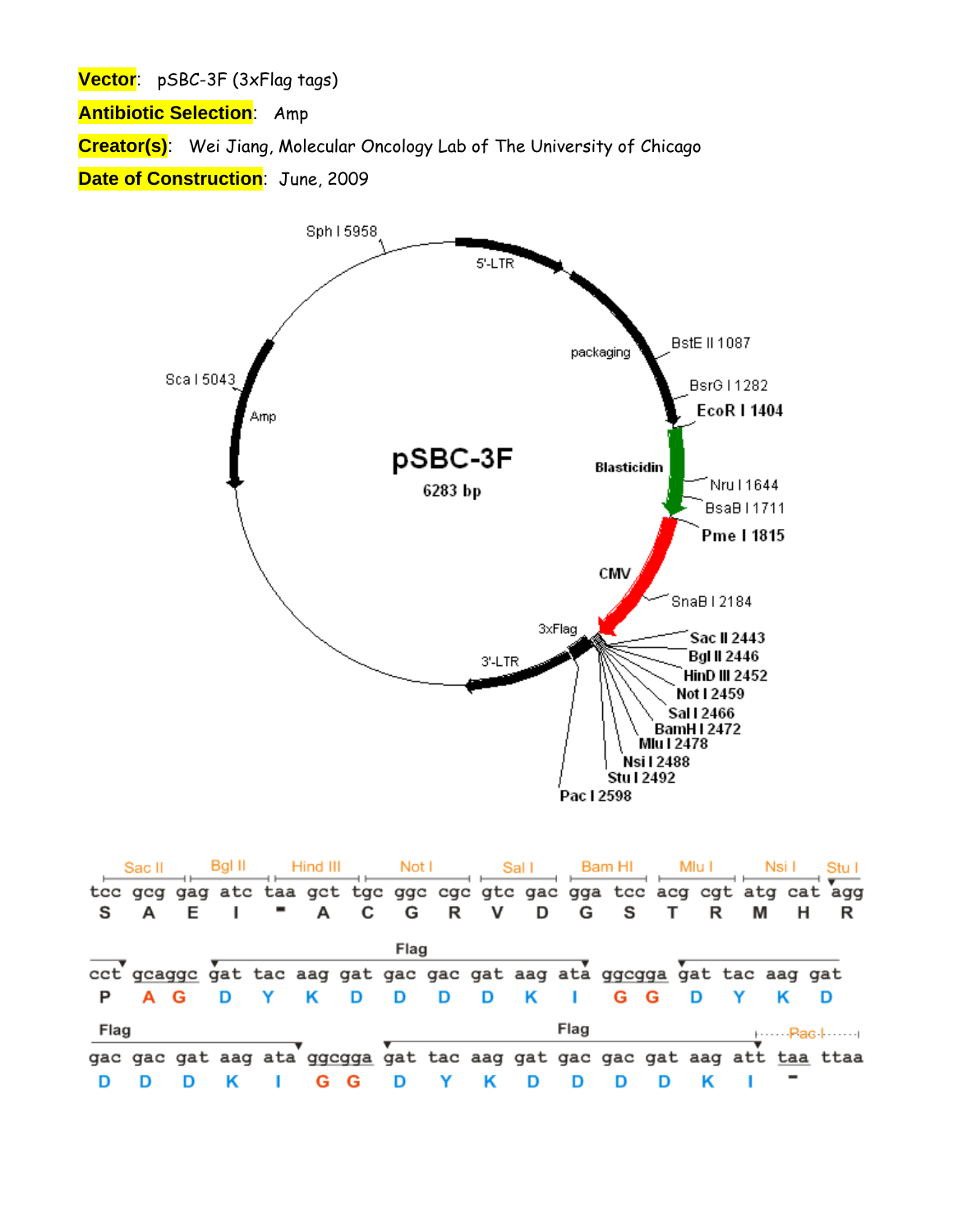**Vector**: pSBC-3F (3xFlag tags)

**Antibiotic Selection**: Amp

**Creator(s)**: Wei Jiang, Molecular Oncology Lab of The University of Chicago

**Date of Construction**: June, 2009



gac gac gat aag ata ggcgga gat tac aag gat gac gac gat aag att taa ttaa D D D K I G G D Y K D D D D ĸ ٠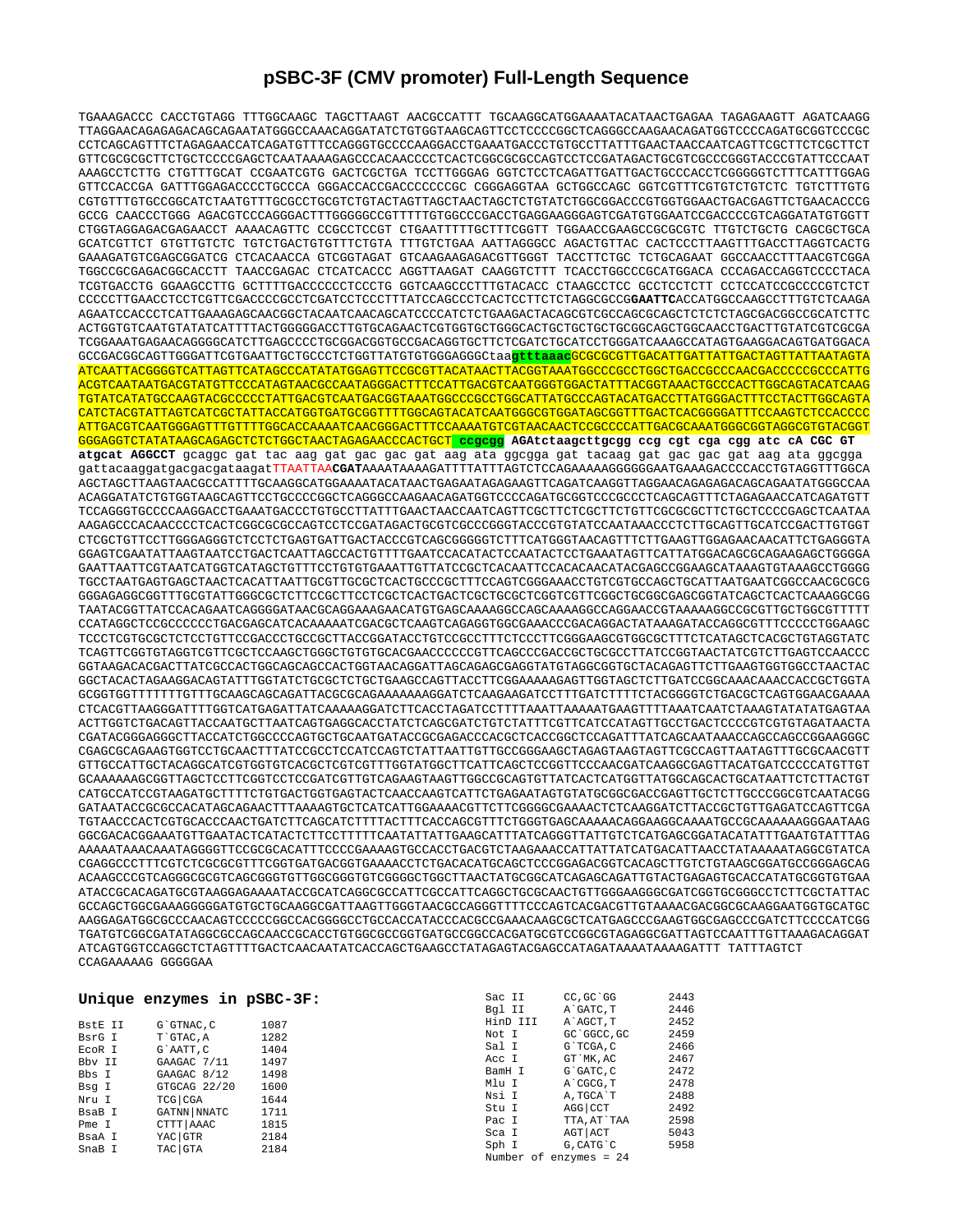## **pSBC-3F (CMV promoter) Full-Length Sequence**

TGAAAGACCC CACCTGTAGG TTTGGCAAGC TAGCTTAAGT AACGCCATTT TGCAAGGCATGGAAAATACATAACTGAGAA TAGAGAAGTT AGATCAAGG TTAGGAACAGAGAGACAGCAGAATATGGGCCAAACAGGATATCTGTGGTAAGCAGTTCCTCCCCGGCTCAGGGCCAAGAACAGATGGTCCCCAGATGCGGTCCCGC CCTCAGCAGTTTCTAGAGAACCATCAGATGTTTCCAGGGTGCCCCAAGGACCTGAAATGACCCTGTGCCTTATTTGAACTAACCAATCAGTTCGCTTCTCGCTTCT GTTCGCGCGCTTCTGCTCCCCGAGCTCAATAAAAGAGCCCACAACCCCTCACTCGGCGCGCCAGTCCTCCGATAGACTGCGTCGCCCGGGTACCCGTATTCCCAAT AAAGCCTCTTG CTGTTTGCAT CCGAATCGTG GACTCGCTGA TCCTTGGGAG GGTCTCCTCAGATTGATTGACTGCCCACCTCGGGGGTCTTTCATTTGGAG GTTCCACCGA GATTTGGAGACCCCTGCCCA GGGACCACCGACCCCCCCGC CGGGAGGTAA GCTGGCCAGC GGTCGTTTCGTGTCTGTCTC TGTCTTTGTG CGTGTTTGTGCCGGCATCTAATGTTTGCGCCTGCGTCTGTACTAGTTAGCTAACTAGCTCTGTATCTGGCGGACCCGTGGTGGAACTGACGAGTTCTGAACACCCG GCCG CAACCCTGGG AGACGTCCCAGGGACTTTGGGGGCCGTTTTTGTGGCCCGACCTGAGGAAGGGAGTCGATGTGGAATCCGACCCCGTCAGGATATGTGGTT CTGGTAGGAGACGAGAACCT AAAACAGTTC CCGCCTCCGT CTGAATTTTTGCTTTCGGTT TGGAACCGAAGCCGCGCGTC TTGTCTGCTG CAGCGCTGCA GCATCGTTCT GTGTTGTCTC TGTCTGACTGTGTTTCTGTA TTTGTCTGAA AATTAGGGCC AGACTGTTAC CACTCCCTTAAGTTTGACCTTAGGTCACTG GAAAGATGTCGAGCGGATCG CTCACAACCA GTCGGTAGAT GTCAAGAAGAGACGTTGGGT TACCTTCTGC TCTGCAGAAT GGCCAACCTTTAACGTCGGA TGGCCGCGAGACGGCACCTT TAACCGAGAC CTCATCACCC AGGTTAAGAT CAAGGTCTTT TCACCTGGCCCGCATGGACA CCCAGACCAGGTCCCCTACA TCGTGACCTG GGAAGCCTTG GCTTTTGACCCCCCTCCCTG GGTCAAGCCCTTTGTACACC CTAAGCCTCC GCCTCCTCTT CCTCCATCCGCCCCGTCTCT CCCCCTTGAACCTCCTCGTTCGACCCCGCCTCGATCCTCCCTTTATCCAGCCCTCACTCCTTCTCTAGGCGCCG**GAATTC**ACCATGGCCAAGCCTTTGTCTCAAGA AGAATCCACCCTCATTGAAAGAGCAACGGCTACAATCAACAGCATCCCCATCTCTGAAGACTACAGCGTCGCCAGCGCAGCTCTCTCTAGCGACGGCCGCATCTTC ACTGGTGTCAATGTATATCATTTTACTGGGGGACCTTGTGCAGAACTCGTGGTGCTGGGCACTGCTGCTGCTGCGGCAGCTGGCAACCTGACTTGTATCGTCGCGA TCGGAAATGAGAACAGGGGCATCTTGAGCCCCTGCGGACGGTGCCGACAGGTGCTTCTCGATCTGCATCCTGGGATCAAAGCCATAGTGAAGGACAGTGATGGACA GCCGACGGCAGTTGGGATTCGTGAATTGCTGCCCTCTGGTTATGTGTGGGAGGGCtaa**gtttaaac**GCGCGCGTTGACATTGATTATTGACTAGTTATTAATAGTA ATCAATTACGGGGTCATTAGTTCATAGCCCATATATGGAGTTCCGCGTTACATAACTTACGGTAAATGGCCCGCCTGGCTGACCGCCCAACGACCCCCGCCCATTG ACGTCAATAATGACGTATGTTCCCATAGTAACGCCAATAGGGACTTTCCATTGACGTCAATGGGTGGACTATTTACGGTAAACTGCCCACTTGGCAGTACATCAAG TGTATCATATGCCAAGTACGCCCCCTATTGACGTCAATGACGGTAAATGGCCCGCCTGGCATTATGCCCAGTACATGACCTTATGGGACTTTCCTACTTGGCAGTA CATCTACGTATTAGTCATCGCTATTACCATGGTGATGCGGTTTTGGCAGTACATCAATGGGCGTGGATAGCGGTTTGACTCACGGGGATTTCCAAGTCTCCACCCC ATTGACGTCAATGGGAGTTTGTTTTGGCACCAAAATCAACGGGACTTTCCAAAATGTCGTAACAACTCCGCCCCATTGACGCAAATGGGCGGTAGGCGTGTACGGT GGGAGGTCTATATAAGCAGAGCTCTCTGGCTAACTAGAGAACCCACTGCT **ccgcgg AGAtctaagcttgcgg ccg cgt cga cgg atc cA CGC GT atgcat AGGCCT** gcaggc gat tac aag gat gac gac gat aag ata ggcgga gat tacaag gat gac gac gat aag ata ggcgga gattacaaggatgacgacgataagatTTAATTAA**CGAT**AAAATAAAAGATTTTATTTAGTCTCCAGAAAAAGGGGGGAATGAAAGACCCCACCTGTAGGTTTGGCA AGCTAGCTTAAGTAACGCCATTTTGCAAGGCATGGAAAATACATAACTGAGAATAGAGAAGTTCAGATCAAGGTTAGGAACAGAGAGACAGCAGAATATGGGCCAA ACAGGATATCTGTGGTAAGCAGTTCCTGCCCCGGCTCAGGGCCAAGAACAGATGGTCCCCAGATGCGGTCCCGCCCTCAGCAGTTTCTAGAGAACCATCAGATGTT TCCAGGGTGCCCCAAGGACCTGAAATGACCCTGTGCCTTATTTGAACTAACCAATCAGTTCGCTTCTCGCTTCTGTTCGCGCGCTTCTGCTCCCCGAGCTCAATAA AAGAGCCCACAACCCCTCACTCGGCGCGCCAGTCCTCCGATAGACTGCGTCGCCCGGGTACCCGTGTATCCAATAAACCCTCTTGCAGTTGCATCCGACTTGTGGT CTCGCTGTTCCTTGGGAGGGTCTCCTCTGAGTGATTGACTACCCGTCAGCGGGGGTCTTTCATGGGTAACAGTTTCTTGAAGTTGGAGAACAACATTCTGAGGGTA GGAGTCGAATATTAAGTAATCCTGACTCAATTAGCCACTGTTTTGAATCCACATACTCCAATACTCCTGAAATAGTTCATTATGGACAGCGCAGAAGAGCTGGGGA GAATTAATTCGTAATCATGGTCATAGCTGTTTCCTGTGTGAAATTGTTATCCGCTCACAATTCCACACAACATACGAGCCGGAAGCATAAAGTGTAAAGCCTGGGG TGCCTAATGAGTGAGCTAACTCACATTAATTGCGTTGCGCTCACTGCCCGCTTTCCAGTCGGGAAACCTGTCGTGCCAGCTGCATTAATGAATCGGCCAACGCGCG GGGAGAGGCGGTTTGCGTATTGGGCGCTCTTCCGCTTCCTCGCTCACTGACTCGCTGCGCTCGGTCGTTCGGCTGCGGCGAGCGGTATCAGCTCACTCAAAGGCGG TAATACGGTTATCCACAGAATCAGGGGATAACGCAGGAAAGAACATGTGAGCAAAAGGCCAGCAAAAGGCCAGGAACCGTAAAAAGGCCGCGTTGCTGGCGTTTTT CCATAGGCTCCGCCCCCCTGACGAGCATCACAAAAATCGACGCTCAAGTCAGAGGTGGCGAAACCCGACAGGACTATAAAGATACCAGGCGTTTCCCCCTGGAAGC TCCCTCGTGCGCTCTCCTGTTCCGACCCTGCCGCTTACCGGATACCTGTCCGCCTTTCTCCCTTCGGGAAGCGTGGCGCTTTCTCATAGCTCACGCTGTAGGTATC TCAGTTCGGTGTAGGTCGTTCGCTCCAAGCTGGGCTGTGTGCACGAACCCCCCGTTCAGCCCGACCGCTGCGCCTTATCCGGTAACTATCGTCTTGAGTCCAACCC GGTAAGACACGACTTATCGCCACTGGCAGCAGCCACTGGTAACAGGATTAGCAGAGCGAGGTATGTAGGCGGTGCTACAGAGTTCTTGAAGTGGTGGCCTAACTAC GGCTACACTAGAAGGACAGTATTTGGTATCTGCGCTCTGCTGAAGCCAGTTACCTTCGGAAAAAGAGTTGGTAGCTCTTGATCCGGCAAACAAACCACCGCTGGTA GCGGTGGTTTTTTTGTTTGCAAGCAGCAGATTACGCGCAGAAAAAAAGGATCTCAAGAAGATCCTTTGATCTTTTCTACGGGGTCTGACGCTCAGTGGAACGAAAA CTCACGTTAAGGGATTTTGGTCATGAGATTATCAAAAAGGATCTTCACCTAGATCCTTTTAAATTAAAAATGAAGTTTTAAATCAATCTAAAGTATATATGAGTAA ACTTGGTCTGACAGTTACCAATGCTTAATCAGTGAGGCACCTATCTCAGCGATCTGTCTATTTCGTTCATCCATAGTTGCCTGACTCCCCGTCGTGTAGATAACTA CGATACGGGAGGGCTTACCATCTGGCCCCAGTGCTGCAATGATACCGCGAGACCCACGCTCACCGGCTCCAGATTTATCAGCAATAAACCAGCCAGCCGGAAGGGC CGAGCGCAGAAGTGGTCCTGCAACTTTATCCGCCTCCATCCAGTCTATTAATTGTTGCCGGGAAGCTAGAGTAAGTAGTTCGCCAGTTAATAGTTTGCGCAACGTT GTTGCCATTGCTACAGGCATCGTGGTGTCACGCTCGTCGTTTGGTATGGCTTCATTCAGCTCCGGTTCCCAACGATCAAGGCGAGTTACATGATCCCCCATGTTGT GCAAAAAAGCGGTTAGCTCCTTCGGTCCTCCGATCGTTGTCAGAAGTAAGTTGGCCGCAGTGTTATCACTCATGGTTATGGCAGCACTGCATAATTCTCTTACTGT CATGCCATCCGTAAGATGCTTTTCTGTGACTGGTGAGTACTCAACCAAGTCATTCTGAGAATAGTGTATGCGGCGACCGAGTTGCTCTTGCCCGGCGTCAATACGG GATAATACCGCGCCACATAGCAGAACTTTAAAAGTGCTCATCATTGGAAAACGTTCTTCGGGGCGAAAACTCTCAAGGATCTTACCGCTGTTGAGATCCAGTTCGA TGTAACCCACTCGTGCACCCAACTGATCTTCAGCATCTTTTACTTTCACCAGCGTTTCTGGGTGAGCAAAAACAGGAAGGCAAAATGCCGCAAAAAAGGGAATAAG GGCGACACGGAAATGTTGAATACTCATACTCTTCCTTTTTCAATATTATTGAAGCATTTATCAGGGTTATTGTCTCATGAGCGGATACATATTTGAATGTATTTAG AAAAATAAACAAATAGGGGTTCCGCGCACATTTCCCCGAAAAGTGCCACCTGACGTCTAAGAAACCATTATTATCATGACATTAACCTATAAAAATAGGCGTATCA CGAGGCCCTTTCGTCTCGCGCGTTTCGGTGATGACGGTGAAAACCTCTGACACATGCAGCTCCCGGAGACGGTCACAGCTTGTCTGTAAGCGGATGCCGGGAGCAG ACAAGCCCGTCAGGGCGCGTCAGCGGGTGTTGGCGGGTGTCGGGGCTGGCTTAACTATGCGGCATCAGAGCAGATTGTACTGAGAGTGCACCATATGCGGTGTGAA ATACCGCACAGATGCGTAAGGAGAAAATACCGCATCAGGCGCCATTCGCCATTCAGGCTGCGCAACTGTTGGGAAGGGCGATCGGTGCGGGCCTCTTCGCTATTAC GCCAGCTGGCGAAAGGGGGATGTGCTGCAAGGCGATTAAGTTGGGTAACGCCAGGGTTTTCCCAGTCACGACGTTGTAAAACGACGGCGCAAGGAATGGTGCATGC AAGGAGATGGCGCCCAACAGTCCCCCGGCCACGGGGCCTGCCACCATACCCACGCCGAAACAAGCGCTCATGAGCCCGAAGTGGCGAGCCCGATCTTCCCCATCGG TGATGTCGGCGATATAGGCGCCAGCAACCGCACCTGTGGCGCCGGTGATGCCGGCCACGATGCGTCCGGCGTAGAGGCGATTAGTCCAATTTGTTAAAGACAGGAT ATCAGTGGTCCAGGCTCTAGTTTTGACTCAACAATATCACCAGCTGAAGCCTATAGAGTACGAGCCATAGATAAAATAAAAGATTT TATTTAGTCT CCAGAAAAAG GGGGGAA

|                | Unique enzymes in pSBC-3F: |      | CC, GC GG<br>Sac II      | 2443 |
|----------------|----------------------------|------|--------------------------|------|
|                |                            |      | A GATC, T<br>Bgl II      | 2446 |
| <b>BstE II</b> | G`GTNAC.C                  | 1087 | HinD III<br>A`AGCT, T    | 2452 |
| BsrG I         | T`GTAC, A                  | 1282 | GC GGCC, GC<br>Not I     | 2459 |
| ECOR I         | G`AATT.C                   | 1404 | G`TCGA.C<br>Sal I        | 2466 |
| Bby II         | GAAGAC 7/11                | 1497 | GT `MK, AC<br>Acc I      | 2467 |
| Bbs I          | GAAGAC 8/12                | 1498 | G`GATC.C<br>BamH I       | 2472 |
| Bsq I          | GTGCAG 22/20               | 1600 | A CGCG.T<br>Mlu I        | 2478 |
| Nru I          | TCG CGA                    | 1644 | A, TGCA`T<br>Nsi I       | 2488 |
| BsaB I         | GATNN NNATC                | 1711 | AGG CCT<br>Stu I         | 2492 |
| Pme I          | CTTT AAAC                  | 1815 | TTA, AT`TAA<br>Pac I     | 2598 |
| BsaA I         | YAC GTR                    | 2184 | AGT ACT<br>Sca I         | 5043 |
| SnaB I         | TAC GTA                    | 2184 | Sph I<br>G, CATG C       | 5958 |
|                |                            |      | Number of enzymes = $24$ |      |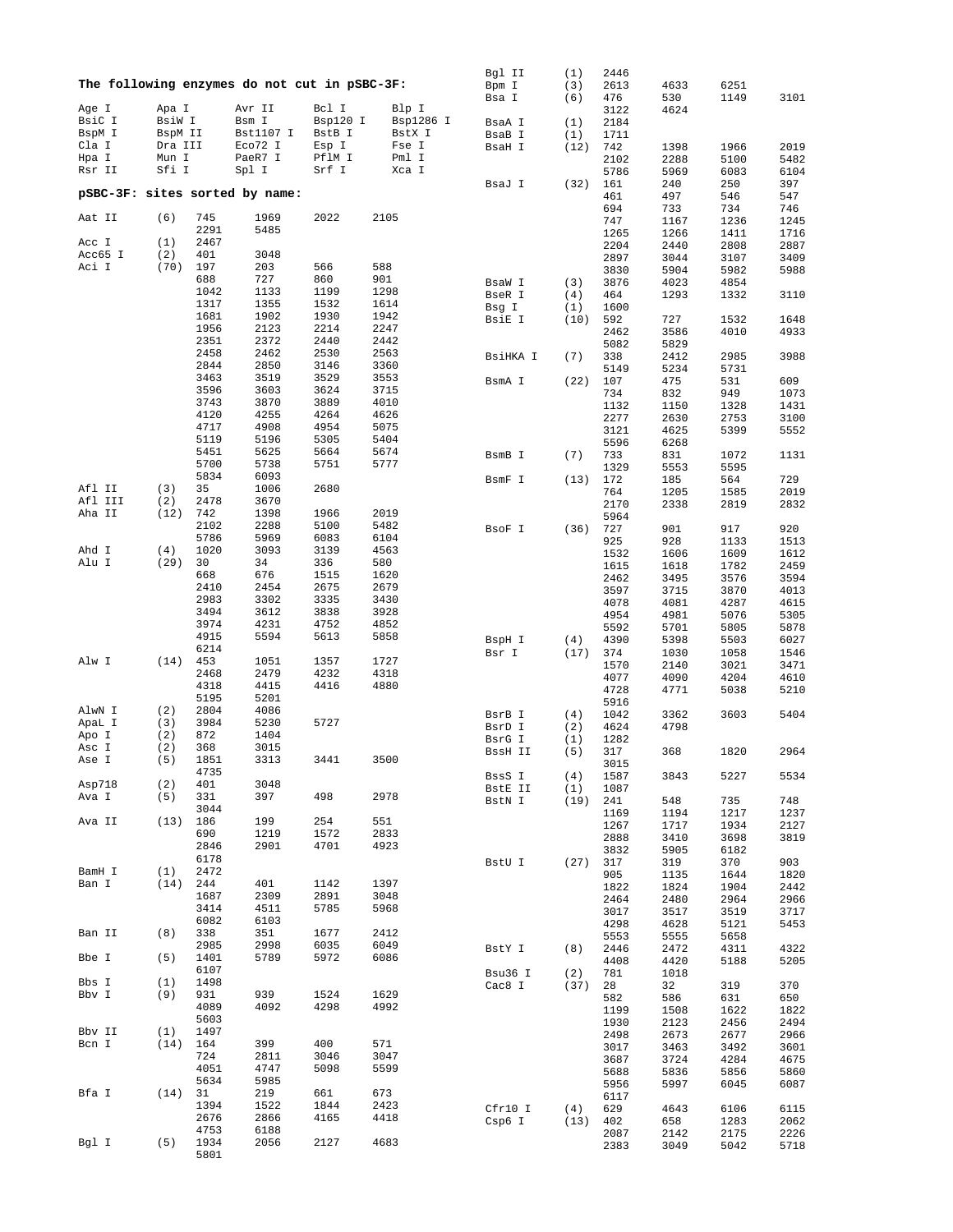|                                |         |      |                                              |          |           | Bgl II   | (1)  | 2446 |      |      |      |
|--------------------------------|---------|------|----------------------------------------------|----------|-----------|----------|------|------|------|------|------|
|                                |         |      | The following enzymes do not cut in pSBC-3F: |          |           | Bpm I    | (3)  | 2613 | 4633 | 6251 |      |
|                                |         |      |                                              |          |           | Bsa I    | (6)  | 476  | 530  | 1149 | 3101 |
| Age I                          | Apa I   |      | Avr II                                       | Bcl I    | Blp I     |          |      | 3122 | 4624 |      |      |
| BsiC I                         | BsiW I  |      | Bsm I                                        | Bsp120 I | Bsp1286 I | BsaA I   | (1)  | 2184 |      |      |      |
| BspM I                         | BspM II |      | Bst1107 I                                    | BstB I   | BstX I    | BsaB I   | (1)  | 1711 |      |      |      |
| Cla I                          | Dra III |      | Eco72 I                                      | Esp I    | Fse I     | BsaH I   | (12) | 742  | 1398 | 1966 | 2019 |
| Hpa I                          | Mun I   |      | PaeR7 I                                      | PflM I   | Pml I     |          |      | 2102 | 2288 | 5100 | 5482 |
| Rsr II                         | Sfi I   |      | Spl I                                        | Srf I    | Xca I     |          |      | 5786 | 5969 | 6083 | 6104 |
|                                |         |      |                                              |          |           | BsaJ I   | (32) | 161  | 240  | 250  | 397  |
| pSBC-3F: sites sorted by name: |         |      |                                              |          |           |          |      | 461  | 497  | 546  | 547  |
|                                |         |      |                                              |          |           |          |      | 694  | 733  | 734  | 746  |
| Aat II                         | (6)     | 745  | 1969                                         | 2022     | 2105      |          |      | 747  | 1167 | 1236 | 1245 |
|                                |         | 2291 | 5485                                         |          |           |          |      | 1265 | 1266 | 1411 | 1716 |
| Acc I                          | (1)     | 2467 |                                              |          |           |          |      | 2204 | 2440 | 2808 | 2887 |
| Acc65 I                        | (2)     | 401  | 3048                                         |          |           |          |      | 2897 | 3044 | 3107 | 3409 |
| Aci I                          | (70)    | 197  | 203                                          | 566      | 588       |          |      | 3830 | 5904 | 5982 | 5988 |
|                                |         | 688  | 727                                          | 860      | 901       | BsaW I   | (3)  | 3876 | 4023 | 4854 |      |
|                                |         | 1042 | 1133                                         | 1199     | 1298      | BseR I   | (4)  | 464  | 1293 | 1332 | 3110 |
|                                |         | 1317 | 1355                                         | 1532     | 1614      | Bsg I    | (1)  | 1600 |      |      |      |
|                                |         | 1681 | 1902                                         | 1930     | 1942      | BsiE I   | (10) | 592  | 727  | 1532 | 1648 |
|                                |         | 1956 | 2123                                         | 2214     | 2247      |          |      | 2462 | 3586 | 4010 | 4933 |
|                                |         | 2351 | 2372                                         | 2440     | 2442      |          |      | 5082 | 5829 |      |      |
|                                |         | 2458 | 2462                                         | 2530     | 2563      | BsiHKA I | (7)  | 338  | 2412 | 2985 | 3988 |
|                                |         | 2844 | 2850                                         | 3146     | 3360      |          |      | 5149 | 5234 | 5731 |      |
|                                |         | 3463 | 3519                                         | 3529     | 3553      | BsmA I   | (22) | 107  | 475  | 531  | 609  |
|                                |         | 3596 | 3603                                         | 3624     | 3715      |          |      | 734  | 832  | 949  | 1073 |
|                                |         | 3743 | 3870                                         | 3889     | 4010      |          |      | 1132 | 1150 | 1328 | 1431 |
|                                |         | 4120 | 4255                                         | 4264     | 4626      |          |      | 2277 | 2630 | 2753 | 3100 |
|                                |         | 4717 | 4908                                         | 4954     | 5075      |          |      | 3121 | 4625 | 5399 | 5552 |
|                                |         | 5119 | 5196                                         | 5305     | 5404      |          |      | 5596 | 6268 |      |      |
|                                |         | 5451 | 5625                                         | 5664     | 5674      | BsmB I   | (7)  | 733  | 831  | 1072 | 1131 |
|                                |         | 5700 | 5738                                         | 5751     | 5777      |          |      | 1329 | 5553 | 5595 |      |
|                                |         | 5834 | 6093                                         |          |           | BsmF I   | (13) | 172  | 185  | 564  | 729  |
| Afl II                         | (3)     | 35   | 1006                                         | 2680     |           |          |      | 764  | 1205 | 1585 | 2019 |
| Afl III                        | (2)     | 2478 | 3670                                         |          |           |          |      | 2170 | 2338 | 2819 | 2832 |
| Aha II                         | (12)    | 742  | 1398                                         | 1966     | 2019      |          |      | 5964 |      |      |      |
|                                |         | 2102 | 2288                                         | 5100     | 5482      | BsoF I   | (36) | 727  | 901  | 917  | 920  |
|                                |         | 5786 | 5969                                         | 6083     | 6104      |          |      | 925  | 928  | 1133 | 1513 |
| Ahd I                          | (4)     | 1020 | 3093                                         | 3139     | 4563      |          |      | 1532 | 1606 | 1609 | 1612 |
| Alu I                          | (29)    | 30   | 34                                           | 336      | 580       |          |      | 1615 | 1618 | 1782 | 2459 |
|                                |         | 668  | 676                                          | 1515     | 1620      |          |      | 2462 | 3495 | 3576 | 3594 |
|                                |         | 2410 | 2454                                         | 2675     | 2679      |          |      | 3597 | 3715 | 3870 | 4013 |
|                                |         | 2983 | 3302                                         | 3335     | 3430      |          |      | 4078 | 4081 | 4287 | 4615 |
|                                |         | 3494 | 3612                                         | 3838     | 3928      |          |      | 4954 | 4981 | 5076 | 5305 |
|                                |         | 3974 | 4231                                         | 4752     | 4852      |          |      | 5592 | 5701 | 5805 | 5878 |
|                                |         | 4915 | 5594                                         | 5613     | 5858      | BspH I   | (4)  | 4390 | 5398 | 5503 | 6027 |
|                                |         | 6214 |                                              |          |           | Bsr I    | (17) | 374  | 1030 | 1058 | 1546 |
| Alw I                          | (14)    | 453  | 1051                                         | 1357     | 1727      |          |      | 1570 | 2140 | 3021 | 3471 |
|                                |         | 2468 | 2479                                         | 4232     | 4318      |          |      | 4077 | 4090 | 4204 | 4610 |
|                                |         | 4318 | 4415                                         | 4416     | 4880      |          |      | 4728 | 4771 | 5038 | 5210 |
|                                |         | 5195 | 5201                                         |          |           |          |      | 5916 |      |      |      |
| AlwN I                         | (2)     | 2804 | 4086                                         |          |           | BsrB I   | (4)  | 1042 | 3362 | 3603 | 5404 |
| ApaL I                         | (3)     | 3984 | 5230                                         | 5727     |           | BsrD I   | (2)  | 4624 | 4798 |      |      |
| Apo I                          | (2)     | 872  | 1404                                         |          |           | BsrG I   | (1)  | 1282 |      |      |      |
| Asc I                          | (2)     | 368  | 3015                                         |          |           | BssH II  | (5)  | 317  | 368  | 1820 | 2964 |
| Ase I                          | (5)     | 1851 | 3313                                         | 3441     | 3500      |          |      | 3015 |      |      |      |
|                                |         | 4735 |                                              |          |           | BssS I   | (4)  | 1587 | 3843 | 5227 | 5534 |
| Asp718                         | (2)     | 401  | 3048                                         |          |           | BstE II  | (1)  | 1087 |      |      |      |
| Ava I                          | (5)     | 331  | 397                                          | 498      | 2978      | BstN I   | (19) | 241  | 548  | 735  | 748  |
|                                |         | 3044 |                                              |          |           |          |      | 1169 | 1194 | 1217 | 1237 |
| Ava II                         | (13)    | 186  | 199                                          | 254      | 551       |          |      | 1267 | 1717 | 1934 | 2127 |
|                                |         | 690  | 1219                                         | 1572     | 2833      |          |      | 2888 | 3410 | 3698 | 3819 |
|                                |         | 2846 | 2901                                         | 4701     | 4923      |          |      | 3832 | 5905 | 6182 |      |
|                                |         | 6178 |                                              |          |           | BstU I   | (27) | 317  | 319  | 370  | 903  |
| BamH I                         | (1)     | 2472 |                                              |          |           |          |      | 905  | 1135 | 1644 | 1820 |
| Ban I                          | (14)    | 244  | 401                                          | 1142     | 1397      |          |      | 1822 | 1824 | 1904 | 2442 |
|                                |         | 1687 | 2309                                         | 2891     | 3048      |          |      | 2464 | 2480 | 2964 | 2966 |
|                                |         | 3414 | 4511                                         | 5785     | 5968      |          |      | 3017 | 3517 | 3519 | 3717 |
|                                |         | 6082 | 6103                                         |          |           |          |      | 4298 | 4628 | 5121 | 5453 |
| Ban II                         | (8)     | 338  | 351                                          | 1677     | 2412      |          |      | 5553 | 5555 | 5658 |      |
|                                |         | 2985 | 2998                                         | 6035     | 6049      | BstY I   | (8)  | 2446 | 2472 | 4311 | 4322 |
| Bbe I                          | (5)     | 1401 | 5789                                         | 5972     | 6086      |          |      | 4408 | 4420 | 5188 | 5205 |
|                                |         | 6107 |                                              |          |           | Bsu36 I  | (2)  | 781  | 1018 |      |      |
| Bbs I                          | (1)     | 1498 |                                              |          |           | Cac8 I   | (37) | 28   | 32   | 319  | 370  |
| Bbv I                          | (9)     | 931  | 939                                          | 1524     | 1629      |          |      | 582  | 586  | 631  | 650  |
|                                |         | 4089 | 4092                                         | 4298     | 4992      |          |      | 1199 | 1508 | 1622 | 1822 |
|                                |         | 5603 |                                              |          |           |          |      | 1930 | 2123 | 2456 | 2494 |
| Bbv II                         | (1)     | 1497 |                                              |          |           |          |      | 2498 | 2673 | 2677 | 2966 |
| Bcn I                          | (14)    | 164  | 399                                          | 400      | 571       |          |      | 3017 | 3463 | 3492 | 3601 |
|                                |         | 724  | 2811                                         | 3046     | 3047      |          |      | 3687 | 3724 | 4284 | 4675 |
|                                |         | 4051 | 4747                                         | 5098     | 5599      |          |      | 5688 | 5836 | 5856 | 5860 |
|                                |         | 5634 | 5985                                         |          |           |          |      | 5956 | 5997 | 6045 | 6087 |
| Bfa I                          | (14)    | 31   | 219                                          | 661      | 673       |          |      | 6117 |      |      |      |
|                                |         | 1394 | 1522                                         | 1844     | 2423      | Cfr10 I  | (4)  | 629  | 4643 | 6106 | 6115 |
|                                |         | 2676 | 2866                                         | 4165     | 4418      | Csp6 I   | (13) | 402  | 658  | 1283 | 2062 |
|                                |         | 4753 | 6188                                         |          |           |          |      | 2087 | 2142 | 2175 | 2226 |
| Bgl I                          | (5)     | 1934 | 2056                                         | 2127     | 4683      |          |      | 2383 | 3049 | 5042 | 5718 |
|                                |         | 5801 |                                              |          |           |          |      |      |      |      |      |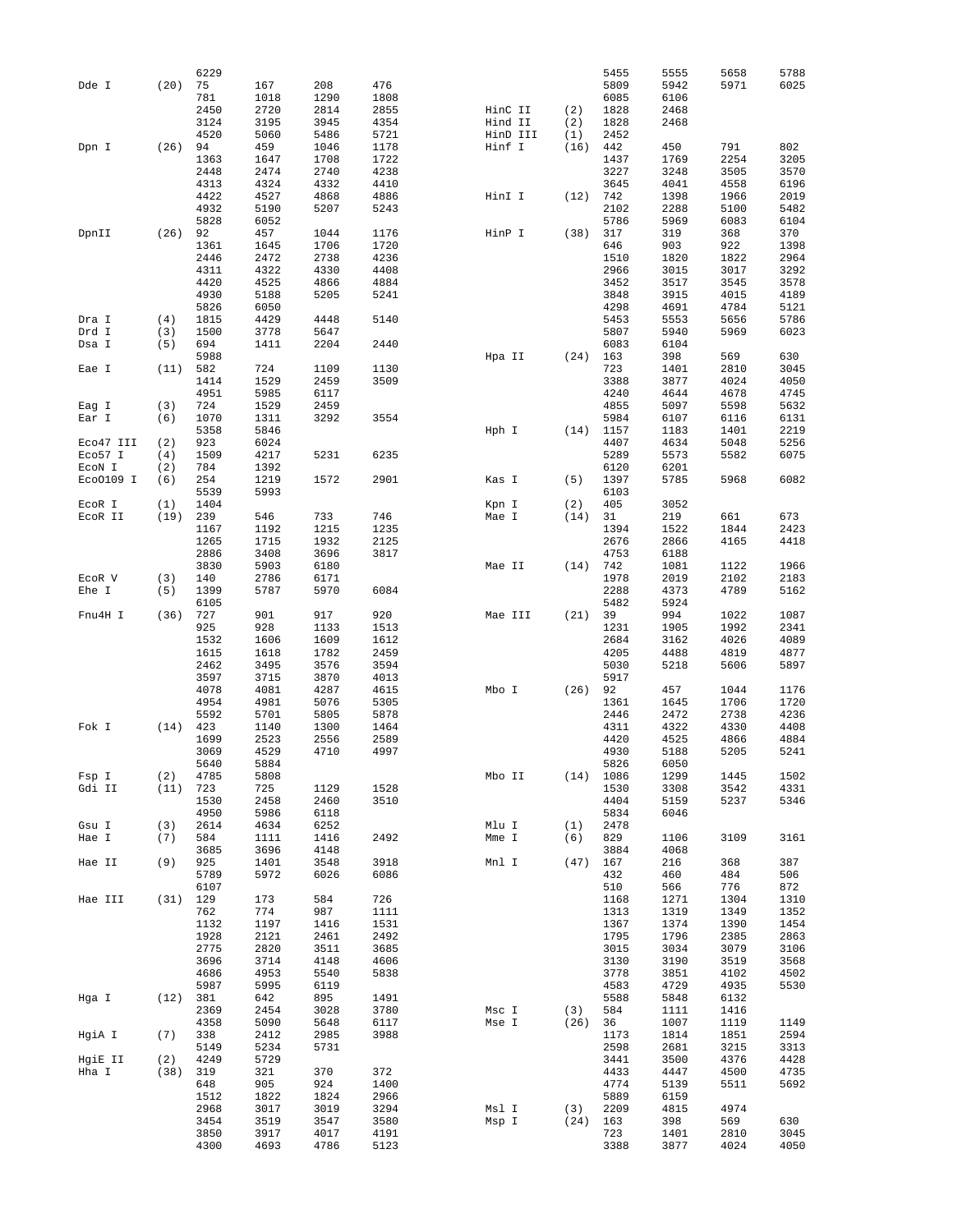|           |          | 6229         |              |              |              |          |      | 5455        | 5555         | 5658         | 5788         |
|-----------|----------|--------------|--------------|--------------|--------------|----------|------|-------------|--------------|--------------|--------------|
| Dde I     | (20)     | 75           | 167          | 208          | 476          |          |      | 5809        | 5942         | 5971         | 6025         |
|           |          | 781          | 1018         | 1290         | 1808         |          |      | 6085        | 6106         |              |              |
|           |          | 2450         | 2720         | 2814         | 2855         | HinC II  | (2)  | 1828        | 2468         |              |              |
|           |          | 3124         | 3195         | 3945         | 4354         | Hind II  | (2)  | 1828        | 2468         |              |              |
|           |          | 4520         | 5060         | 5486         | 5721         | HinD III | (1)  | 2452        |              |              |              |
| Dpn I     | (26)     | 94           | 459          | 1046         | 1178         | Hinf I   | (16) | 442         | 450          | 791          | 802          |
|           |          | 1363         | 1647         | 1708         | 1722         |          |      | 1437        | 1769         | 2254         | 3205         |
|           |          | 2448         | 2474         | 2740         | 4238         |          |      | 3227        | 3248         | 3505         | 3570         |
|           |          | 4313         | 4324         | 4332         | 4410         |          |      | 3645        | 4041         | 4558         | 6196         |
|           |          | 4422         | 4527         | 4868         | 4886         | HinI I   | (12) | 742         | 1398         | 1966         | 2019         |
|           |          | 4932         | 5190         | 5207         | 5243         |          |      | 2102        | 2288         | 5100         | 5482         |
|           |          | 5828         | 6052         |              |              |          |      | 5786        | 5969         | 6083         | 6104         |
|           |          |              |              |              |              | HinP I   |      |             |              |              |              |
| DpnII     | (26)     | 92           | 457          | 1044         | 1176         |          | (38) | 317         | 319          | 368          | 370          |
|           |          | 1361         | 1645         | 1706         | 1720         |          |      | 646         | 903          | 922          | 1398         |
|           |          | 2446         | 2472         | 2738         | 4236         |          |      | 1510        | 1820         | 1822         | 2964         |
|           |          | 4311         | 4322         | 4330         | 4408         |          |      | 2966        | 3015         | 3017         | 3292         |
|           |          | 4420         | 4525         | 4866         | 4884         |          |      | 3452        | 3517         | 3545         | 3578         |
|           |          | 4930         | 5188         | 5205         | 5241         |          |      | 3848        | 3915         | 4015         | 4189         |
|           |          | 5826         | 6050         |              |              |          |      | 4298        | 4691         | 4784         | 5121         |
| Dra I     | (4)      | 1815         | 4429         | 4448         | 5140         |          |      | 5453        | 5553         | 5656         | 5786         |
| Drd I     | (3)      | 1500         | 3778         | 5647         |              |          |      | 5807        | 5940         | 5969         | 6023         |
| Dsa I     | (5)      | 694          | 1411         | 2204         | 2440         |          |      | 6083        | 6104         |              |              |
|           |          | 5988         |              |              |              | Hpa II   | (24) | 163         | 398          | 569          | 630          |
| Eae I     | (11)     | 582          | 724          | 1109         | 1130         |          |      | 723         | 1401         | 2810         | 3045         |
|           |          | 1414         | 1529         | 2459         | 3509         |          |      | 3388        | 3877         | 4024         | 4050         |
|           |          | 4951         | 5985         | 6117         |              |          |      | 4240        | 4644         | 4678         | 4745         |
|           |          |              |              |              |              |          |      |             |              |              |              |
| Eag I     | (3)      | 724          | 1529         | 2459         |              |          |      | 4855        | 5097         | 5598         | 5632         |
| Ear I     | (6)      | 1070         | 1311         | 3292         | 3554         |          |      | 5984        | 6107         | 6116         | 6131         |
|           |          | 5358         | 5846         |              |              | Hph I    | (14) | 1157        | 1183         | 1401         | 2219         |
| Eco47 III | (2)      | 923          | 6024         |              |              |          |      | 4407        | 4634         | 5048         | 5256         |
| Eco57 I   | (4)      | 1509         | 4217         | 5231         | 6235         |          |      | 5289        | 5573         | 5582         | 6075         |
| ECON I    | (2)      | 784          | 1392         |              |              |          |      | 6120        | 6201         |              |              |
| Eco0109 I | (6)      | 254          | 1219         | 1572         | 2901         | Kas I    | (5)  | 1397        | 5785         | 5968         | 6082         |
|           |          | 5539         | 5993         |              |              |          |      | 6103        |              |              |              |
| ECOR I    | (1)      | 1404         |              |              |              | Kpn I    | (2)  | 405         | 3052         |              |              |
| ECOR II   | (19)     | 239          | 546          | 733          | 746          | Mae I    | (14) | 31          | 219          | 661          | 673          |
|           |          | 1167         | 1192         | 1215         | 1235         |          |      | 1394        | 1522         | 1844         | 2423         |
|           |          |              |              |              | 2125         |          |      |             |              |              |              |
|           |          | 1265         | 1715         | 1932         |              |          |      | 2676        | 2866         | 4165         | 4418         |
|           |          | 2886         | 3408         | 3696         | 3817         |          |      | 4753        | 6188         |              |              |
|           |          | 3830         | 5903         | 6180         |              | Mae II   | (14) | 742         | 1081         | 1122         | 1966         |
| ECOR V    | (3)      | 140          | 2786         | 6171         |              |          |      | 1978        | 2019         | 2102         | 2183         |
| Ehe I     | (5)      | 1399         | 5787         | 5970         | 6084         |          |      | 2288        | 4373         | 4789         | 5162         |
|           |          | 6105         |              |              |              |          |      | 5482        | 5924         |              |              |
| Fnu4H I   | (36)     | 727          | 901          | 917          | 920          | Mae III  | (21) | 39          | 994          | 1022         | 1087         |
|           |          | 925          | 928          | 1133         | 1513         |          |      | 1231        | 1905         | 1992         | 2341         |
|           |          | 1532         | 1606         | 1609         | 1612         |          |      | 2684        | 3162         | 4026         | 4089         |
|           |          |              |              |              |              |          |      |             |              |              |              |
|           |          |              |              |              |              |          |      |             |              |              |              |
|           |          | 1615         | 1618         | 1782         | 2459         |          |      | 4205        | 4488         | 4819         | 4877         |
|           |          | 2462         | 3495         | 3576         | 3594         |          |      | 5030        | 5218         | 5606         | 5897         |
|           |          | 3597         | 3715         | 3870         | 4013         |          |      | 5917        |              |              |              |
|           |          | 4078         | 4081         | 4287         | 4615         | Mbo I    | (26) | 92          | 457          | 1044         | 1176         |
|           |          | 4954         | 4981         | 5076         | 5305         |          |      | 1361        | 1645         | 1706         | 1720         |
|           |          | 5592         | 5701         | 5805         | 5878         |          |      | 2446        | 2472         | 2738         | 4236         |
| Fok I     | (14)     | 423          | 1140         | 1300         | 1464         |          |      | 4311        | 4322         | 4330         | 4408         |
|           |          | 1699         | 2523         | 2556         | 2589         |          |      | 4420        | 4525         | 4866         | 4884         |
|           |          | 3069         | 4529         | 4710         | 4997         |          |      | 4930        | 5188         | 5205         | 5241         |
|           |          | 5640         | 5884         |              |              |          |      | 5826        | 6050         |              |              |
| Fsp I     | (2)      | 4785         | 5808         |              |              | Mbo II   | (14) | 1086        | 1299         | 1445         | 1502         |
| Gdi II    | (11)     | 723          | 725          | 1129         | 1528         |          |      | 1530        | 3308         | 3542         | 4331         |
|           |          | 1530         | 2458         | 2460         | 3510         |          |      | 4404        | 5159         | 5237         | 5346         |
|           |          | 4950         | 5986         | 6118         |              |          |      | 5834        | 6046         |              |              |
| Gsu I     | (3)      | 2614         | 4634         | 6252         |              | Mlu I    | (1)  | 2478        |              |              |              |
| Hae I     | (7)      | 584          | 1111         | 1416         | 2492         | Mme I    | (6)  | 829         | 1106         | 3109         | 3161         |
|           |          | 3685         | 3696         |              |              |          |      | 3884        | 4068         |              |              |
|           |          |              |              | 4148         |              |          |      |             |              |              |              |
| Hae II    | (9)      | 925          | 1401         | 3548         | 3918         | Mnl I    | (47) | 167         | 216          | 368          | 387          |
|           |          | 5789         | 5972         | 6026         | 6086         |          |      | 432         | 460          | 484          | 506          |
|           |          | 6107         |              |              |              |          |      | 510         | 566          | 776          | 872          |
| Hae III   | (31)     | 129          | 173          | 584          | 726          |          |      | 1168        | 1271         | 1304         | 1310         |
|           |          | 762          | 774          | 987          | 1111         |          |      | 1313        | 1319         | 1349         | 1352         |
|           |          | 1132         | 1197         | 1416         | 1531         |          |      | 1367        | 1374         | 1390         | 1454         |
|           |          | 1928         | 2121         | 2461         | 2492         |          |      | 1795        | 1796         | 2385         | 2863         |
|           |          | 2775         | 2820         | 3511         | 3685         |          |      | 3015        | 3034         | 3079         | 3106         |
|           |          | 3696         | 3714         | 4148         | 4606         |          |      | 3130        | 3190         | 3519         | 3568         |
|           |          | 4686         | 4953         | 5540         | 5838         |          |      | 3778        | 3851         | 4102         | 4502         |
|           |          | 5987         | 5995         | 6119         |              |          |      | 4583        | 4729         | 4935         | 5530         |
| Hga I     | (12) 381 |              | 642          | 895          | 1491         |          |      | 5588        | 5848         | 6132         |              |
|           |          | 2369         | 2454         | 3028         | 3780         | Msc I    | (3)  | 584         | 1111         | 1416         |              |
|           |          | 4358         | 5090         | 5648         | 6117         | Mse I    | (26) | 36          | 1007         | 1119         | 1149         |
| HgiA I    | (7)      | 338          | 2412         | 2985         | 3988         |          |      | 1173        | 1814         | 1851         | 2594         |
|           |          | 5149         | 5234         | 5731         |              |          |      | 2598        | 2681         | 3215         | 3313         |
|           |          |              |              |              |              |          |      |             |              |              |              |
| HgiE II   | (2)      | 4249         | 5729         |              |              |          |      | 3441        | 3500         | 4376         | 4428         |
| Hha I     | (38)     | 319          | 321          | 370          | 372          |          |      | 4433        | 4447         | 4500         | 4735         |
|           |          | 648          | 905          | 924          | 1400         |          |      | 4774        | 5139         | 5511         | 5692         |
|           |          | 1512         | 1822         | 1824         | 2966         |          |      | 5889        | 6159         |              |              |
|           |          | 2968         | 3017         | 3019         | 3294         | Msl I    | (3)  | 2209        | 4815         | 4974         |              |
|           |          | 3454         | 3519         | 3547         | 3580         | Msp I    | (24) | 163         | 398          | 569          | 630          |
|           |          | 3850<br>4300 | 3917<br>4693 | 4017<br>4786 | 4191<br>5123 |          |      | 723<br>3388 | 1401<br>3877 | 2810<br>4024 | 3045<br>4050 |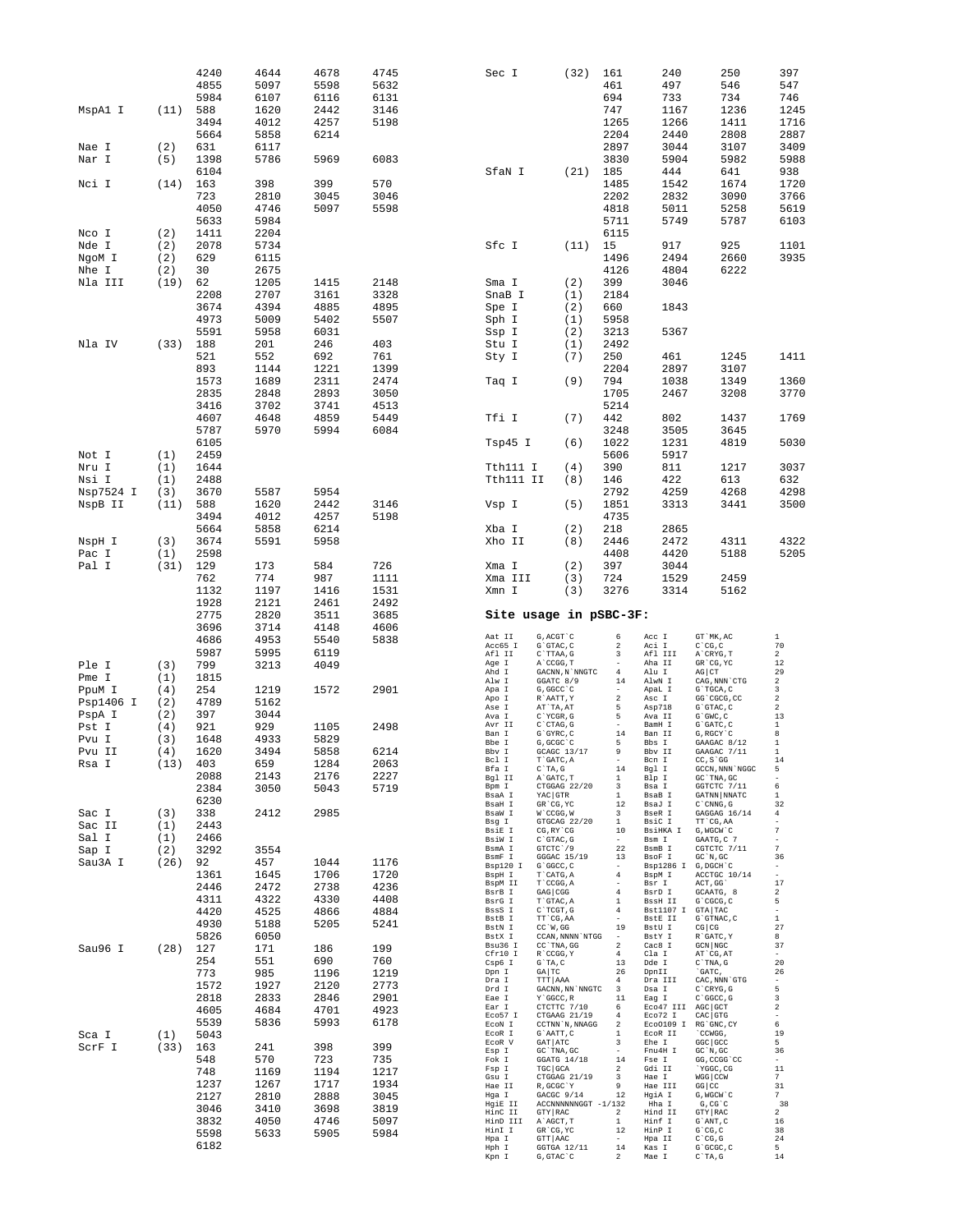|                      |             | 4240<br>4855 | 4644<br>5097 | 4678<br>5598 | 4745<br>5632 | Sec I                   | (32)                                                                 | 161<br>461                              | 240<br>497                      | 250<br>546                                                   | 397<br>547                     |
|----------------------|-------------|--------------|--------------|--------------|--------------|-------------------------|----------------------------------------------------------------------|-----------------------------------------|---------------------------------|--------------------------------------------------------------|--------------------------------|
|                      |             | 5984         | 6107         | 6116         | 6131         |                         |                                                                      | 694                                     | 733                             | 734                                                          | 746                            |
| MspAl I              | (11)        | 588          | 1620         | 2442         | 3146         |                         |                                                                      | 747                                     | 1167                            | 1236                                                         | 1245                           |
|                      |             | 3494         | 4012         | 4257         | 5198         |                         |                                                                      | 1265                                    | 1266                            | 1411                                                         | 1716                           |
| Nae I                | (2)         | 5664<br>631  | 5858<br>6117 | 6214         |              |                         |                                                                      | 2204<br>2897                            | 2440<br>3044                    | 2808<br>3107                                                 | 2887<br>3409                   |
| Nar I                | (5)         | 1398         | 5786         | 5969         | 6083         |                         |                                                                      | 3830                                    | 5904                            | 5982                                                         | 5988                           |
|                      |             | 6104         |              |              |              | SfaN I                  | (21)                                                                 | 185                                     | 444                             | 641                                                          | 938                            |
| Nci I                | (14)        | 163          | 398          | 399          | 570          |                         |                                                                      | 1485                                    | 1542                            | 1674                                                         | 1720                           |
|                      |             | 723          | 2810         | 3045<br>5097 | 3046         |                         |                                                                      | 2202                                    | 2832                            | 3090                                                         | 3766                           |
|                      |             | 4050<br>5633 | 4746<br>5984 |              | 5598         |                         |                                                                      | 4818<br>5711                            | 5011<br>5749                    | 5258<br>5787                                                 | 5619<br>6103                   |
| Nco I                | (2)         | 1411         | 2204         |              |              |                         |                                                                      | 6115                                    |                                 |                                                              |                                |
| Nde I                | (2)         | 2078         | 5734         |              |              | Sfc I                   | (11)                                                                 | 15                                      | 917                             | 925                                                          | 1101                           |
| NgoM I               | (2)         | 629          | 6115         |              |              |                         |                                                                      | 1496                                    | 2494                            | 2660                                                         | 3935                           |
| Nhe I<br>Nla III     | (2)         | 30           | 2675         |              | 2148         |                         |                                                                      | 4126<br>399                             | 4804<br>3046                    | 6222                                                         |                                |
|                      | (19)        | 62<br>2208   | 1205<br>2707 | 1415<br>3161 | 3328         | Sma I<br>SnaB I         | (2)<br>(1)                                                           | 2184                                    |                                 |                                                              |                                |
|                      |             | 3674         | 4394         | 4885         | 4895         | Spe I                   | (2)                                                                  | 660                                     | 1843                            |                                                              |                                |
|                      |             | 4973         | 5009         | 5402         | 5507         | Sph I                   | (1)                                                                  | 5958                                    |                                 |                                                              |                                |
|                      |             | 5591         | 5958         | 6031         |              | Ssp I                   | (2)                                                                  | 3213                                    | 5367                            |                                                              |                                |
| Nla IV               | (33)        | 188<br>521   | 201<br>552   | 246<br>692   | 403<br>761   | Stu I                   | (1)<br>(7)                                                           | 2492<br>250                             | 461                             | 1245                                                         | 1411                           |
|                      |             | 893          | 1144         | 1221         | 1399         | Sty I                   |                                                                      | 2204                                    | 2897                            | 3107                                                         |                                |
|                      |             | 1573         | 1689         | 2311         | 2474         | Taq I                   | (9)                                                                  | 794                                     | 1038                            | 1349                                                         | 1360                           |
|                      |             | 2835         | 2848         | 2893         | 3050         |                         |                                                                      | 1705                                    | 2467                            | 3208                                                         | 3770                           |
|                      |             | 3416         | 3702         | 3741         | 4513         |                         |                                                                      | 5214                                    |                                 |                                                              |                                |
|                      |             | 4607<br>5787 | 4648<br>5970 | 4859<br>5994 | 5449<br>6084 | Tfi I                   | (7)                                                                  | 442<br>3248                             | 802<br>3505                     | 1437<br>3645                                                 | 1769                           |
|                      |             | 6105         |              |              |              | Tsp45 I                 | (6)                                                                  | 1022                                    | 1231                            | 4819                                                         | 5030                           |
| Not I                | (1)         | 2459         |              |              |              |                         |                                                                      | 5606                                    | 5917                            |                                                              |                                |
| Nru I                | (1)         | 1644         |              |              |              | Tth111 I                | (4)                                                                  | 390                                     | 811                             | 1217                                                         | 3037                           |
| Nsi I                | (1)         | 2488         |              |              |              | Tth111 II               | (8)                                                                  | 146                                     | 422                             | 613                                                          | 632                            |
| Nsp7524 I<br>NspB II | (3)<br>(11) | 3670<br>588  | 5587<br>1620 | 5954<br>2442 | 3146         | Vsp I                   | (5)                                                                  | 2792<br>1851                            | 4259<br>3313                    | 4268<br>3441                                                 | 4298<br>3500                   |
|                      |             | 3494         | 4012         | 4257         | 5198         |                         |                                                                      | 4735                                    |                                 |                                                              |                                |
|                      |             | 5664         | 5858         | 6214         |              | Xba I                   | (2)                                                                  | 218                                     | 2865                            |                                                              |                                |
| NspH I               | (3)         | 3674         | 5591         | 5958         |              | Xho II                  | (8)                                                                  | 2446                                    | 2472                            | 4311                                                         | 4322                           |
| Pac I<br>Pal I       | (1)<br>(31) | 2598<br>129  | 173          | 584          | 726          | Xma I                   | (2)                                                                  | 4408<br>397                             | 4420<br>3044                    | 5188                                                         | 5205                           |
|                      |             | 762          | 774          | 987          | 1111         | Xma III                 | (3)                                                                  | 724                                     | 1529                            | 2459                                                         |                                |
|                      |             | 1132         | 1197         | 1416         | 1531         | Xmn I                   | (3)                                                                  | 3276                                    | 3314                            | 5162                                                         |                                |
|                      |             |              |              | 2461         |              |                         |                                                                      |                                         |                                 |                                                              |                                |
|                      |             | 1928         | 2121         |              | 2492         |                         |                                                                      |                                         |                                 |                                                              |                                |
|                      |             | 2775         | 2820         | 3511         | 3685         | Site usage in pSBC-3F:  |                                                                      |                                         |                                 |                                                              |                                |
|                      |             | 3696         | 3714         | 4148         | 4606         | Aat II                  | G, ACGT `C                                                           | 6                                       | Acc I                           | GT `MK, AC                                                   | 1                              |
|                      |             | 4686<br>5987 | 4953<br>5995 | 5540<br>6119 | 5838         | Acc65 I                 | G`GTAC, C                                                            | $\overline{a}$                          | Aci I                           | $C^{\dagger}CG, C$                                           | 70                             |
| Ple I                | (3)         | 799          | 3213         | 4049         |              | Afl II<br>Age I         | C`TTAA, G<br>A`CCGG, T                                               | 3<br>$\overline{a}$                     | Afl III<br>Aha II               | A`CRYG, T<br>GR CG, YC                                       | $\overline{a}$<br>12           |
| Pme I                | (1)         | 1815         |              |              |              | Ahd I<br>Alw I          | GACNN, N'NNGTC<br>GGATC 8/9                                          | $\bf{4}$<br>14                          | Alu I<br>AlwN I                 | AG CT<br>CAG, NNN `CTG                                       | 29<br>$\overline{\mathbf{c}}$  |
| PpuM I               | (4)         | 254          | 1219         | 1572         | 2901         | Apa I<br>Apo I          | ${\tt G}$ , ${\tt GGCC}$<br>$\char`$ ${\tt C}$<br>R'AATT, Y          | $\mathbf 2$                             | ApaL I<br>Asc I                 | G`TGCA, C<br>GG 'CGCG, CC                                    | 3<br>$\sqrt{2}$                |
| Psp1406 I            | (2)         | 4789         | 5162         |              |              | Ase I                   | AT`TA, AT                                                            | 5                                       | Asp718                          | G`GTAC, C                                                    | $\overline{2}$                 |
| PspA I<br>Pst I      | (2)<br>(4)  | 397<br>921   | 3044<br>929  | 1105         | 2498         | Ava I<br>Avr II         | C`YCGR, G<br>C`CTAG, G                                               | 5<br>$\overline{\phantom{a}}$           | Ava II<br>BamH I                | $G$ $GWC$ , $C$<br>G`GATC, C                                 | 13<br>$\mathbf{1}$             |
| Pvu I                | (3)         | 1648         | 4933         | 5829         |              | Ban I<br>Bbe I          | G`GYRC, C<br>G, GCGC `C                                              | 14<br>5                                 | Ban II<br>Bbs I                 | G, RGCY `C<br>GAAGAC 8/12                                    | 8<br>1                         |
| Pvu II               | (4)         | 1620         | 3494         | 5858         | 6214         | Bbv I                   | GCAGC 13/17                                                          | 9                                       | Bbv II                          | GAAGAC 7/11                                                  | 1                              |
| Rsa I                | (13)        | 403          | 659          | 1284         | 2063         | Bcl I<br>Bfa I          | T`GATC, A<br>$C$ $^{\circ}$ TA, G                                    | 14                                      | Bcn I<br>Bgl I                  | $CC, S \hat{G}$<br>GCCN, NNN 'NGGC                           | 14<br>5                        |
|                      |             | 2088         | 2143         | 2176         | 2227         | Bgl II<br>Bpm I         | A`GATC, T<br>CTGGAG 22/20                                            | $\mathbf{1}$<br>$\overline{\mathbf{3}}$ | Blp I<br>Bsa I                  | GC `TNA, GC<br>GGTCTC 7/11                                   | $\overline{\phantom{a}}$<br>6  |
|                      |             | 2384<br>6230 | 3050         | 5043         | 5719         | BsaA I<br>BsaH I        | YAC GTR<br>GR CG, YC                                                 | $\mathbf{1}$<br>12                      | BsaB I<br>BsaJ I                | $\texttt{GATNN}$ $\mid$ $\texttt{NNATC}$<br>$C$ $CMNG$ , $G$ | $\mathbf{1}$<br>32             |
| Sac I                | (3)         | 338          | 2412         | 2985         |              | BsaW I                  | W`CCGG, W                                                            | 3                                       | BseR I                          | GAGGAG 16/14                                                 | $\overline{4}$<br>$\sim$       |
| Sac II               | (1)         | 2443         |              |              |              | Bsg I<br>BsiE I         | GTGCAG 22/20<br>$CG, RY^{\wedge} CG$                                 | $\mathbf{1}$<br>10                      | BsiC I<br>BsiHKA I              | TT CG, AA<br>G, WGCW`C                                       | $\scriptstyle\rm 7$            |
| Sal I                | (1)         | 2466         |              |              |              | BsiW I<br>BsmA I        | $\text{C} \text{`GTAC}$ , $\text{G}$<br>GTCTC '/9                    | $\sim$<br>22                            | Bsm I<br>BsmB I                 | GAATG, C 7<br>CGTCTC 7/11                                    | $\sim$<br>$7\phantom{.}$       |
| Sap I<br>Sau3A I     | (2)<br>(26) | 3292<br>92   | 3554<br>457  | 1044         | 1176         | BsmF I                  | GGGAC 15/19                                                          | 13<br>$\sim$                            | BsoF I                          | GC'N, GC                                                     | 36<br>$\overline{\phantom{a}}$ |
|                      |             | 1361         | 1645         | 1706         | 1720         | Bsp120 I<br>BspH I      | $G$ $GC$ , $C$<br>T`CATG, A                                          | 4                                       | Bsp1286 I G, DGCH'C<br>BspM I   | ACCTGC 10/14                                                 | $\sim$                         |
|                      |             | 2446         | 2472         | 2738         | 4236         | BspM II<br>BsrB I       | T`CCGG, A<br>GAG CGG                                                 | $\sim$<br>$\overline{4}$                | Bsr I<br>BsrD I                 | ACT, GG<br>GCAATG, 8                                         | 17<br>$\overline{\mathbf{c}}$  |
|                      |             | 4311         | 4322         | 4330         | 4408         | BsrG I                  | T`GTAC, A                                                            | 1<br>4                                  | BssH II                         | G`CGCG, C                                                    | 5<br>$\sim$                    |
|                      |             | 4420         | 4525         | 4866         | 4884         | BssS I<br>BstB I        | $C$ $TCGT$ , $G$<br>TT`CG, AA                                        | $\sim$                                  | Bst1107 I GTA TAC<br>BstE II    | ${\tt G}$ $\hspace{-1.5pt}$ GTNAC , ${\tt C}$                | $\mathbf{1}$                   |
|                      |             | 4930<br>5826 | 5188<br>6050 | 5205         | 5241         | BstN I<br>BstX I        | CC'W, GG<br>CCAN, NNNN `NTGG                                         | 19<br>$\sim$                            | BstU I<br>BstY I                | $CG$ $CG$<br>R`GATC, Y                                       | 27<br>8                        |
| Sau96 I              | (28)        | 127          | 171          | 186          | 199          | Bsu36 I<br>Cfr10 I      | CC `TNA, GG                                                          | $\overline{a}$<br>4                     | Cac8 I<br>Cla I                 | GCN NGC                                                      | 37<br>$\sim$                   |
|                      |             | 254          | 551          | 690          | 760          | Csp6 I                  | R`CCGG, Y<br>$G$ $TA$ , $C$                                          | 13                                      | Dde I                           | AT `CG, AT<br>$C^{\dagger}$ TNA, G                           | 20                             |
|                      |             | 773          | 985          | 1196         | 1219         | Dpn I<br>Dra I          | GA TC<br>TTT AAA                                                     | 26<br>$\overline{4}$                    | DpnII<br>Dra III                | `GATC,<br>${\rm CAC}$ , ${\rm NNN}$ $\hat{}\;$ GTG           | 26<br>$\overline{\phantom{a}}$ |
|                      |             | 1572<br>2818 | 1927<br>2833 | 2120<br>2846 | 2773<br>2901 | Drd I<br>Eae I          | $\texttt{GACNN}$ , $\texttt{NN}$ $\lq$ $\texttt{NNGTC}$<br>Y`GGCC, R | $\overline{\mathbf{3}}$<br>11           | Dsa I<br>Eag I                  | C`CRYG, G<br>$C$ $\hat{}$ GGCC , G                           | 5<br>3                         |
|                      |             | 4605         | 4684         | 4701         | 4923         | Ear I                   | CTCTTC 7/10                                                          | 6<br>$\overline{4}$                     | Eco47 III AGC GCT               |                                                              | $\sqrt{2}$<br>$\sim$           |
|                      |             | 5539         | 5836         | 5993         | 6178         | Eco57 I<br>ECON I       | CTGAAG 21/19<br>CCTNN'N, NNAGG                                       | $\overline{a}$                          | Eco72 I<br>Eco0109 I RG'GNC, CY | $CAC$ $GTG$                                                  | 6                              |
| Sca I                | (1)         | 5043         |              |              |              | ECOR I<br>ECOR V        | G`AATT, C<br>GAT ATC                                                 | $\mathbf{1}$<br>3                       | ECOR II<br>Ehe I                | `CCWGG,<br>GGC GCC                                           | 19<br>5                        |
| ScrF I               | (33)        | 163          | 241          | 398          | 399          | Esp I                   | GC `TNA, GC                                                          | $\overline{\phantom{a}}$                | Fnu4H I                         | GC `N, GC                                                    | 36<br>$\sim$                   |
|                      |             | 548<br>748   | 570<br>1169  | 723<br>1194  | 735<br>1217  | Fok I<br>Fsp I          | GGATG 14/18<br>TGC GCA                                               | 14<br>$\overline{2}$                    | Fse I<br>Gdi II                 | GG, CCGG 'CC<br>`YGGC, CG                                    | $1\,1$                         |
|                      |             | 1237         | 1267         | 1717         | 1934         | Gsu I<br>Hae II         | CTGGAG 21/19<br>R, GCGC`Y                                            | 3<br>9                                  | Hae I<br>Hae III                | WGG CCW<br>GG CC                                             | $7^{\circ}$<br>31              |
|                      |             | 2127         | 2810         | 2888         | 3045         | Hga I<br>HgiE II        | GACGC 9/14<br>ACCNNNNNNGGT -1/132                                    | 12                                      | HgiA I<br>Hha I                 | G, WGCW`C<br>G, CG, C                                        | 7<br>38                        |
|                      |             | 3046         | 3410         | 3698         | 3819         | HinC II                 | GTY RAC                                                              | $\overline{2}$                          | Hind II                         | GTY RAC                                                      | $\overline{a}$                 |
|                      |             | 3832         | 4050         | 4746         | 5097         | HinD III<br>HinI I      | A`AGCT, T<br>GR CG, YC                                               | $\mathbf{1}$<br>12                      | Hinf I<br>HinP I                | $G$ ANT, $C$<br>$G^{\wedge}CG, C$                            | 16<br>38                       |
|                      |             | 5598<br>6182 | 5633         | 5905         | 5984         | Hpa I<br>Hph I<br>Kpn I | GTT AAC<br>GGTGA 12/11<br>$G$ , $G T A C$ $\hat{C}$                  | $\sim$<br>14<br>$\overline{a}$          | Hpa II<br>Kas I<br>Mae I        | $C^{\wedge}CG$ , $G$<br>G`GCGC, C<br>$C$ TA, G               | 24<br>5<br>14                  |